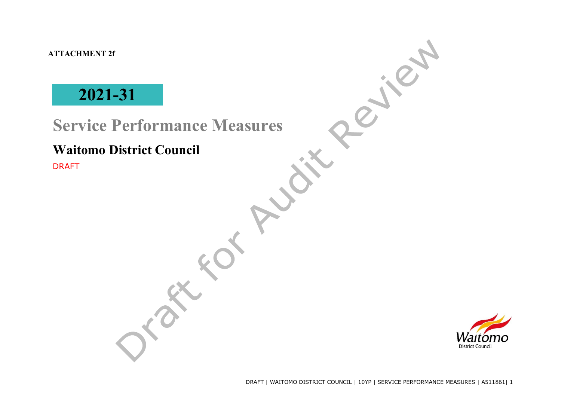**ATTACHMENT 2f**

# **2021-31**

## **Service Performance Measures**

## **Waitomo District Council**

DRAFT

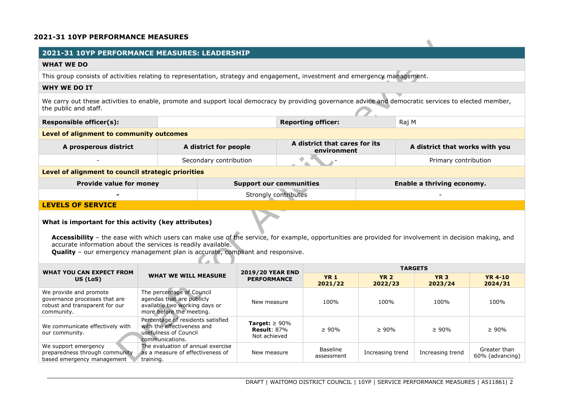#### **2021-31 10YP PERFORMANCE MEASURES**

## **2021-31 10YP PERFORMANCE MEASURES: LEADERSHIP WHAT WE DO** This group consists of activities relating to representation, strategy and engagement, investment and emergency management. **WHY WE DO IT**  We carry out these activities to enable, promote and support local democracy by providing governance advice and democratic services to elected member, the public and staff. **Responsible officer(s): Reporting officer: Reporting officer: Raj M Reporting officer: Raj M Level of alignment to community outcomes A prosperous district A district for people A district that cares for its environment A district that works with you Example 3** Secondary contribution **Contribution** Primary contribution **Primary contribution Level of alignment to council strategic priorities Provide value for money Support our communities Enable a thriving economy. -** Strongly contributes - **LEVELS OF SERVICE What is important for this activity (key attributes)**

**Accessibility** – the ease with which users can make use of the service, for example, opportunities are provided for involvement in decision making, and accurate information about the services is readily available.

**Quality** – our emergency management plan is accurate, compliant and responsive.

| <b>WHAT YOU CAN EXPECT FROM</b>                                                                         |                                                                                                                     | <b>2019/20 YEAR END</b>                                              | <b>TARGETS</b>         |                        |                        |                                 |  |
|---------------------------------------------------------------------------------------------------------|---------------------------------------------------------------------------------------------------------------------|----------------------------------------------------------------------|------------------------|------------------------|------------------------|---------------------------------|--|
| US (LoS)                                                                                                | <b>WHAT WE WILL MEASURE</b>                                                                                         | <b>PERFORMANCE</b>                                                   | <b>YR 1</b><br>2021/22 | <b>YR 2</b><br>2022/23 | <b>YR 3</b><br>2023/24 | <b>YR 4-10</b><br>2024/31       |  |
| We provide and promote<br>governance processes that are<br>robust and transparent for our<br>community. | The percentage of Council<br>agendas that are publicly<br>available two working days or<br>more before the meeting. | New measure                                                          | 100%                   | 100%                   | 100%                   | 100%                            |  |
| We communicate effectively with<br>our community.                                                       | Percentage of residents satisfied<br>with the effectiveness and<br>usefulness of Council<br>communications.         | <b>Target:</b> $\geq 90\%$<br><b>Result</b> : $87\%$<br>Not achieved | $\geq 90\%$            | $\geq 90\%$            | $\geq 90\%$            | $\geq 90\%$                     |  |
| We support emergency<br>preparedness through community<br>based emergency management                    | The evaluation of annual exercise<br>as a measure of effectiveness of<br>training.                                  | New measure                                                          | Baseline<br>assessment | Increasing trend       | Increasing trend       | Greater than<br>60% (advancing) |  |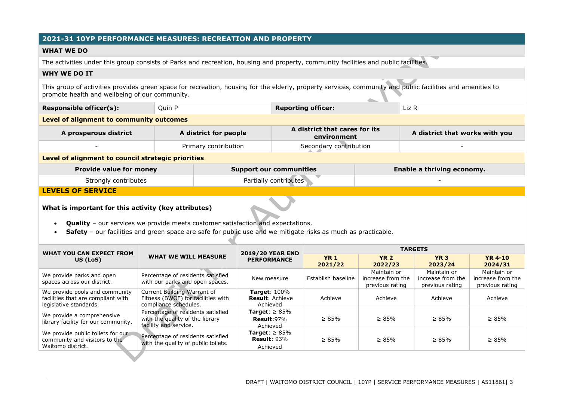## **2021-31 10YP PERFORMANCE MEASURES: RECREATION AND PROPERTY**

#### **WHAT WE DO**

The activities under this group consists of Parks and recreation, housing and property, community facilities and public facilities.

#### **WHY WE DO IT**

This group of activities provides green space for recreation, housing for the elderly, property services, community and public facilities and amenities to promote health and wellbeing of our community.

| Responsible officer(s): | Ouin P | <b>Reporting officer:</b> | Liz R |
|-------------------------|--------|---------------------------|-------|
|-------------------------|--------|---------------------------|-------|

**Level of alignment to community outcomes** 

| A prosperous district | A district for people | A district that cares for its<br>environment | A district that works with you |
|-----------------------|-----------------------|----------------------------------------------|--------------------------------|
|                       | Primary contribution  | Secondary contribution                       |                                |

#### **Level of alignment to council strategic priorities**

| <b>Provide value for money</b> | <b>Support our communities</b> | Enable a thriving economy. |
|--------------------------------|--------------------------------|----------------------------|
| Strongly contributes           | Partially contributes          |                            |

#### **LEVELS OF SERVICE**

#### **What is important for this activity (key attributes)**

- **Quality** our services we provide meets customer satisfaction and expectations.
- **Safety** our facilities and green space are safe for public use and we mitigate risks as much as practicable.

| WHAT YOU CAN EXPECT FROM                                                                       |                                                                                               | <b>2019/20 YEAR END</b>                                   | <b>TARGETS</b>         |                                                     |                                                     |                                                     |  |
|------------------------------------------------------------------------------------------------|-----------------------------------------------------------------------------------------------|-----------------------------------------------------------|------------------------|-----------------------------------------------------|-----------------------------------------------------|-----------------------------------------------------|--|
| US (LoS)                                                                                       | <b>WHAT WE WILL MEASURE</b>                                                                   | <b>PERFORMANCE</b>                                        | <b>YR 1</b><br>2021/22 | <b>YR 2</b><br>2022/23                              | <b>YR 3</b><br>2023/24                              | <b>YR 4-10</b><br>2024/31                           |  |
| We provide parks and open<br>spaces across our district.                                       | Percentage of residents satisfied<br>with our parks and open spaces.                          | New measure                                               | Establish baseline     | Maintain or<br>increase from the<br>previous rating | Maintain or<br>increase from the<br>previous rating | Maintain or<br>increase from the<br>previous rating |  |
| We provide pools and community<br>facilities that are compliant with<br>legislative standards. | Current Building Warrant of<br>Fitness (BWOF) for facilities with<br>compliance schedules.    | <b>Target: 100%</b><br><b>Result: Achieve</b><br>Achieved | Achieve                | Achieve                                             | Achieve                                             | Achieve                                             |  |
| We provide a comprehensive<br>library facility for our community.                              | Percentage of residents satisfied<br>with the quality of the library<br>facility and service. | <b>Target:</b> $\geq 85\%$<br>Result:97%<br>Achieved      | $\geq 85\%$            | $\geq 85\%$                                         | $\geq 85\%$                                         | $\geq 85\%$                                         |  |
| We provide public toilets for our<br>community and visitors to the<br>Waitomo district.        | Percentage of residents satisfied<br>with the quality of public toilets.                      | <b>Target:</b> $\geq 85\%$<br>Result: $93%$<br>Achieved   | $\geq 85\%$            | $\geq 85\%$                                         | $\geq 85\%$                                         | $\geq 85\%$                                         |  |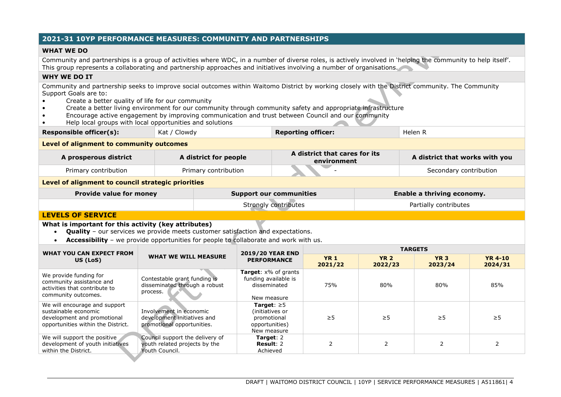## **2021-31 10YP PERFORMANCE MEASURES: COMMUNITY AND PARTNERSHIPS**

#### **WHAT WE DO**

Community and partnerships is a group of activities where WDC, in a number of diverse roles, is actively involved in 'helping the community to help itself'. This group represents a collaborating and partnership approaches and initiatives involving a number of organisations.

#### **WHY WE DO IT**

Community and partnership seeks to improve social outcomes within Waitomo District by working closely with the District community. The Community Support Goals are to:

- Create a better quality of life for our community
- Create a better living environment for our community through community safety and appropriate infrastructure
- Encourage active engagement by improving communication and trust between Council and our community
- Help local groups with local opportunities and solutions

| <b>Responsible officer(s):</b><br>' Clowdy<br>Kat , | <b>Reporting officer:</b> | Helen R |  |
|-----------------------------------------------------|---------------------------|---------|--|
|-----------------------------------------------------|---------------------------|---------|--|

**Level of alignment to community outcomes** 

| A prosperous district                              | A district for people |                                | A district that cares for its<br>environment |                            | A district that works with you |  |
|----------------------------------------------------|-----------------------|--------------------------------|----------------------------------------------|----------------------------|--------------------------------|--|
| Primary contribution                               |                       | Primary contribution           |                                              |                            | Secondary contribution         |  |
| Level of alignment to council strategic priorities |                       |                                |                                              |                            |                                |  |
| <b>Provide value for money</b>                     |                       | <b>Support our communities</b> |                                              | Enable a thriving economy. |                                |  |
|                                                    |                       |                                | Strongly contributes                         |                            | Partially contributes          |  |

#### **LEVELS OF SERVICE**

**What is important for this activity (key attributes)**

- **Quality** our services we provide meets customer satisfaction and expectations.
- **Accessibility**  we provide opportunities for people to collaborate and work with us.

| <b>WHAT YOU CAN EXPECT FROM</b>                                                                                            | <b>WHAT WE WILL MEASURE</b>                                                          | <b>2019/20 YEAR END</b>                                                             | <b>TARGETS</b>         |                        |                        |                           |  |
|----------------------------------------------------------------------------------------------------------------------------|--------------------------------------------------------------------------------------|-------------------------------------------------------------------------------------|------------------------|------------------------|------------------------|---------------------------|--|
| US (LoS)                                                                                                                   |                                                                                      | <b>PERFORMANCE</b>                                                                  | <b>YR 1</b><br>2021/22 | <b>YR 2</b><br>2022/23 | <b>YR 3</b><br>2023/24 | <b>YR 4-10</b><br>2024/31 |  |
| We provide funding for<br>community assistance and<br>activities that contribute to<br>community outcomes.                 | Contestable grant funding is<br>disseminated through a robust<br>process.            | <b>Target:</b> x% of grants<br>funding available is<br>disseminated<br>New measure  | 75%                    | 80%                    | 80%                    | 85%                       |  |
| We will encourage and support<br>sustainable economic<br>development and promotional<br>opportunities within the District. | Involvement in economic<br>development initiatives and<br>promotional opportunities. | Target: $\geq 5$<br>(initiatives or<br>promotional<br>opportunities)<br>New measure | $\geq$ 5               | $\geq$ 5               | $\geq$ 5               | $\geq 5$                  |  |
| We will support the positive<br>development of youth initiatives<br>within the District.                                   | Council support the delivery of<br>youth related projects by the<br>Youth Council.   | Target: $2$<br>Result: 2<br>Achieved                                                |                        |                        |                        |                           |  |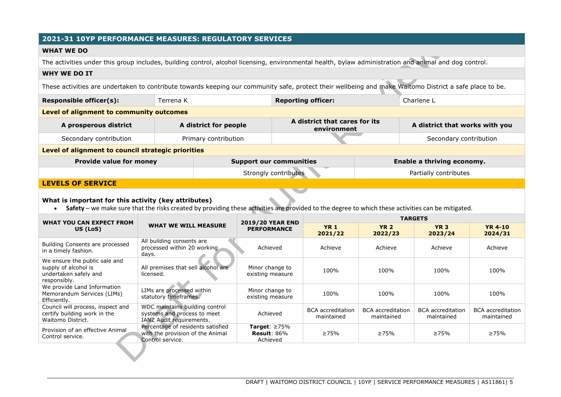## **2021-31 10YP PERFORMANCE MEASURES: REGULATORY SERVICES**

### **WHAT WE DO**

The activities under this group includes, building control, alcohol licensing, environmental health, bylaw administration and animal and dog control.

#### **WHY WE DO IT**

These activities are undertaken to contribute towards keeping our community safe, protect their wellbeing and make Waitomo District a safe place to be.

| Responsible officer(s):                            | Terrena K             | <b>Reporting officer:</b>                    |  | Charlene L                     |  |  |  |
|----------------------------------------------------|-----------------------|----------------------------------------------|--|--------------------------------|--|--|--|
| Level of alignment to community outcomes           |                       |                                              |  |                                |  |  |  |
| A prosperous district                              | A district for people | A district that cares for its<br>environment |  | A district that works with you |  |  |  |
| Secondary contribution                             | Primary contribution  |                                              |  | Secondary contribution         |  |  |  |
| Level of alignment to council strategic priorities |                       |                                              |  |                                |  |  |  |
| <b>Provide value for money</b>                     |                       | <b>Support our communities</b>               |  | Enable a thriving economy.     |  |  |  |
|                                                    |                       | Strongly contributes                         |  | Partially contributes          |  |  |  |

### **LEVELS OF SERVICE**

## **What is important for this activity (key attributes)**

• Safety – we make sure that the risks created by providing these activities are provided to the degree to which these activities can be mitigated.

| <b>WHAT YOU CAN EXPECT FROM</b>                                                                |                                                                                           | <b>2019/20 YEAR END</b>                                  | <b>TARGETS</b>                         |                                        |                                        |                                        |  |
|------------------------------------------------------------------------------------------------|-------------------------------------------------------------------------------------------|----------------------------------------------------------|----------------------------------------|----------------------------------------|----------------------------------------|----------------------------------------|--|
| US (LoS)                                                                                       | <b>WHAT WE WILL MEASURE</b>                                                               | <b>PERFORMANCE</b>                                       | <b>YR 1</b><br>2021/22                 | <b>YR 2</b><br>2022/23                 | <b>YR 3</b><br>2023/24                 | <b>YR 4-10</b><br>2024/31              |  |
| Building Consents are processed<br>in a timely fashion.                                        | All building consents are<br>processed within 20 working<br>days.                         | Achieved                                                 | Achieve                                | Achieve                                | Achieve                                | Achieve                                |  |
| We ensure the public sale and<br>supply of alcohol is<br>undertaken safely and<br>responsibly. | All premises that sell alcohol are<br>licensed.                                           | Minor change to<br>existing measure                      | 100%                                   | 100%                                   | 100%                                   | 100%                                   |  |
| We provide Land Information<br>Memorandum Services (LIMs)<br>Efficiently.                      | LIMs are processed within<br>statutory timeframes.                                        | Minor change to<br>existing measure                      | 100%                                   | 100%                                   | 100%                                   | 100%                                   |  |
| Council will process, inspect and<br>certify building work in the<br>Waitomo District.         | WDC maintains building control<br>systems and process to meet<br>IANZ Audit requirements. | Achieved                                                 | <b>BCA</b> accreditation<br>maintained | <b>BCA</b> accreditation<br>maintained | <b>BCA</b> accreditation<br>maintained | <b>BCA</b> accreditation<br>maintained |  |
| Provision of an effective Animal<br>Control service.                                           | Percentage of residents satisfied<br>with the provision of the Animal<br>Control service. | Target: $\geq 75\%$<br><b>Result:</b> $86\%$<br>Achieved | $\geq 75\%$                            | $\geq 75\%$                            | $\geq 75\%$                            | $\geq 75\%$                            |  |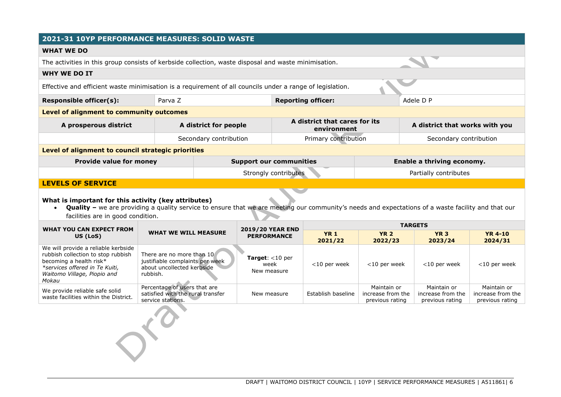## **2021-31 10YP PERFORMANCE MEASURES: SOLID WASTE**

#### **WHAT WE DO**

The activities in this group consists of kerbside collection, waste disposal and waste minimisation.

#### **WHY WE DO IT**

Effective and efficient waste minimisation is a requirement of all councils under a range of legislation.

**Responsible officer(s):** Parva Z **Reporting officer:** Adele D P

## **Level of alignment to community outcomes**

| A prosperous district                              | A district for people  | A district that cares for its<br>environment | A district that works with you |
|----------------------------------------------------|------------------------|----------------------------------------------|--------------------------------|
|                                                    | Secondary contribution | Primary contribution                         | Secondary contribution         |
| Level of alignment to council strategic priorities |                        |                                              |                                |
| <b>Provide value for money</b>                     |                        | <b>Support our communities</b>               | Enable a thriving economy.     |
|                                                    |                        | Strongly contributes                         | Partially contributes          |

## **LEVELS OF SERVICE**

#### **What is important for this activity (key attributes)**

 $\sim$ 

• Quality – we are providing a quality service to ensure that we are meeting our community's needs and expectations of a waste facility and that our facilities are in good condition.

| WHAT YOU CAN EXPECT FROM                                                                                                                                                       |                                                                                                        | <b>2019/20 YEAR END</b>                          | <b>TARGETS</b>         |                                                     |                                                     |                                                     |  |
|--------------------------------------------------------------------------------------------------------------------------------------------------------------------------------|--------------------------------------------------------------------------------------------------------|--------------------------------------------------|------------------------|-----------------------------------------------------|-----------------------------------------------------|-----------------------------------------------------|--|
| US (LoS)                                                                                                                                                                       | <b>WHAT WE WILL MEASURE</b>                                                                            | <b>PERFORMANCE</b>                               | <b>YR 1</b><br>2021/22 | <b>YR 2</b><br>2022/23                              | <b>YR 3</b><br>2023/24                              | <b>YR 4-10</b><br>2024/31                           |  |
| We will provide a reliable kerbside<br>rubbish collection to stop rubbish<br>becoming a health risk*<br>*services offered in Te Kuiti,<br>Waitomo Village, Piopio and<br>Mokau | There are no more than 10<br>justifiable complaints per week<br>about uncollected kerbside<br>rubbish. | <b>Target:</b> $<$ 10 per<br>week<br>New measure | $<$ 10 per week        | $<$ 10 per week                                     | $<$ 10 per week                                     | $<$ 10 per week                                     |  |
| We provide reliable safe solid<br>waste facilities within the District.                                                                                                        | Percentage of users that are<br>satisfied with the rural transfer<br>service stations.                 | New measure                                      | Establish baseline     | Maintain or<br>increase from the<br>previous rating | Maintain or<br>increase from the<br>previous rating | Maintain or<br>increase from the<br>previous rating |  |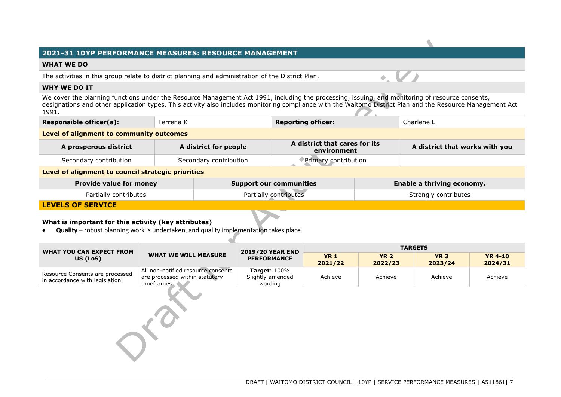#### **2021-31 10YP PERFORMANCE MEASURES: RESOURCE MANAGEMENT**

#### **WHAT WE DO**

The activities in this group relate to district planning and administration of the District Plan.

#### **WHY WE DO IT**

We cover the planning functions under the Resource Management Act 1991, including the processing, issuing, and monitoring of resource consents, designations and other application types. This activity also includes monitoring compliance with the Waitomo District Plan and the Resource Management Act 1991.

| Responsible officer(s):                  | Terrena K | <b>Reporting officer:</b> | Charlene L |
|------------------------------------------|-----------|---------------------------|------------|
| Level of alignment to community outcomes |           |                           |            |

| A prosperous district  | A district for people  | A district that cares for its<br>environment | A district that works with you |
|------------------------|------------------------|----------------------------------------------|--------------------------------|
| Secondary contribution | Secondary contribution | Primary contribution                         |                                |

#### **Level of alignment to council strategic priorities**

| <b>Provide value for money</b> | <b>Support our communities</b> | Enable a thriving economy. |
|--------------------------------|--------------------------------|----------------------------|
| Partially contributes          | Partially contributes          | Strongly contributes       |

## **LEVELS OF SERVICE**

## **What is important for this activity (key attributes)**

• **Quality** – robust planning work is undertaken, and quality implementation takes place.

| WHAT YOU CAN EXPECT FROM                                           |                                                                                     | <b>2019/20 YEAR END</b>                        | <b>TARGETS</b>         |                        |                        |                           |
|--------------------------------------------------------------------|-------------------------------------------------------------------------------------|------------------------------------------------|------------------------|------------------------|------------------------|---------------------------|
| <b>WHAT WE WILL MEASURE</b><br>US (LoS)                            |                                                                                     | <b>PERFORMANCE</b>                             | <b>YR 1</b><br>2021/22 | <b>YR 2</b><br>2022/23 | <b>YR 3</b><br>2023/24 | <b>YR 4-10</b><br>2024/31 |
| Resource Consents are processed<br>in accordance with legislation. | All non-notified resource consents<br>are processed within statutory<br>timeframes. | Target: $100\%$<br>Slightly amended<br>wording | Achieve                | Achieve                | Achieve                | Achieve                   |
|                                                                    |                                                                                     |                                                |                        |                        |                        |                           |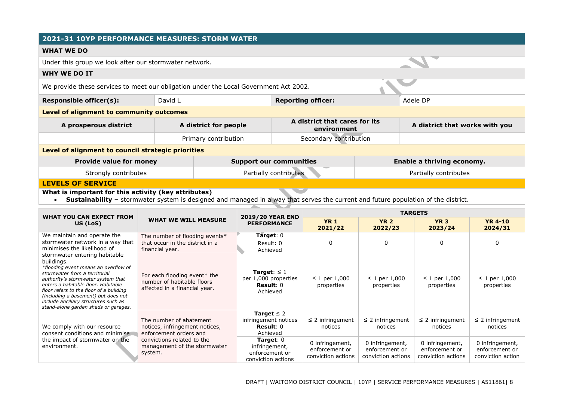## **2021-31 10YP PERFORMANCE MEASURES: STORM WATER**

#### **WHAT WE DO**

Under this group we look after our stormwater network.

#### **WHY WE DO IT**

We provide these services to meet our obligation under the Local Government Act 2002.

| <b>Responsible officer(s):</b>                  | Adele DP              |                                              |                                |  |  |
|-------------------------------------------------|-----------------------|----------------------------------------------|--------------------------------|--|--|
| <b>Level of alignment to community outcomes</b> |                       |                                              |                                |  |  |
| A prosperous district                           | A district for people | A district that cares for its<br>environment | A district that works with you |  |  |

Primary contribution and Secondary contribution **Level of alignment to council strategic priorities Provide value for money example 3 Support our communities Enable a thriving economy.** 

| Strongly contributes | Partially contributes | Partially contributes |
|----------------------|-----------------------|-----------------------|

## **LEVELS OF SERVICE**

#### **What is important for this activity (key attributes)**

• Sustainability – stormwater system is designed and managed in a way that serves the current and future population of the district.

| <b>WHAT YOU CAN EXPECT FROM</b>                                                                                                                                                                                                                                                                                                                                                                                                                                    |                                                                                      | <b>2019/20 YEAR END</b>                                                     | <b>TARGETS</b>                                          |                                                         |                                                         |                                                        |
|--------------------------------------------------------------------------------------------------------------------------------------------------------------------------------------------------------------------------------------------------------------------------------------------------------------------------------------------------------------------------------------------------------------------------------------------------------------------|--------------------------------------------------------------------------------------|-----------------------------------------------------------------------------|---------------------------------------------------------|---------------------------------------------------------|---------------------------------------------------------|--------------------------------------------------------|
| US (LoS)                                                                                                                                                                                                                                                                                                                                                                                                                                                           | <b>WHAT WE WILL MEASURE</b><br><b>PERFORMANCE</b>                                    |                                                                             | <b>YR 1</b><br>2021/22                                  | <b>YR 2</b><br>2022/23                                  | <b>YR 3</b><br>2023/24                                  | <b>YR 4-10</b><br>2024/31                              |
| We maintain and operate the<br>stormwater network in a way that<br>minimises the likelihood of                                                                                                                                                                                                                                                                                                                                                                     | The number of flooding events*<br>that occur in the district in a<br>financial year. | Target: $0$<br>Result: 0<br>Achieved                                        |                                                         | <sup>0</sup>                                            | 0                                                       | 0                                                      |
| stormwater entering habitable<br>buildings.<br>*flooding event means an overflow of<br>stormwater from a territorial<br>For each flooding event* the<br>authority's stormwater system that<br>number of habitable floors<br>enters a habitable floor. Habitable<br>affected in a financial year.<br>floor refers to the floor of a building<br>(including a basement) but does not<br>include ancillary structures such as<br>stand-alone garden sheds or garages. | Target: $\leq 1$<br>per 1,000 properties<br>$Result: 0$<br>Achieved                  | $\leq 1$ per 1,000<br>properties                                            | $\leq 1$ per 1,000<br>properties                        | $\leq$ 1 per 1,000<br>properties                        | $\leq 1$ per 1,000<br>properties                        |                                                        |
| We comply with our resource<br>consent conditions and minimise                                                                                                                                                                                                                                                                                                                                                                                                     | The number of abatement<br>notices, infringement notices,<br>enforcement orders and  | Target $\leq 2$<br>infringement notices<br>$Result: 0$<br>Achieved          | $\leq$ 2 infringement<br>notices                        | $\leq$ 2 infringement<br>notices                        | $\leq$ 2 infringement<br>notices                        | $\leq$ 2 infringement<br>notices                       |
| the impact of stormwater on the<br>environment.                                                                                                                                                                                                                                                                                                                                                                                                                    | convictions related to the<br>management of the stormwater<br>system.                | <b>Target:</b> $0$<br>infringement,<br>enforcement or<br>conviction actions | 0 infringement,<br>enforcement or<br>conviction actions | 0 infringement,<br>enforcement or<br>conviction actions | 0 infringement,<br>enforcement or<br>conviction actions | 0 infringement,<br>enforcement or<br>conviction action |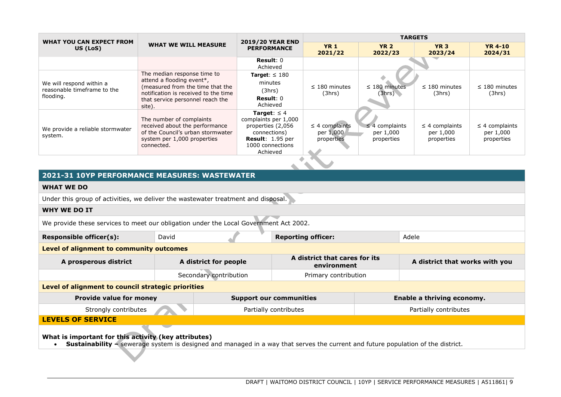| WHAT YOU CAN EXPECT FROM                                             |                                                                                                                                                                                    | <b>2019/20 YEAR END</b>                                                                                                                         | <b>TARGETS</b>                                 |                                                |                                                |                                                |
|----------------------------------------------------------------------|------------------------------------------------------------------------------------------------------------------------------------------------------------------------------------|-------------------------------------------------------------------------------------------------------------------------------------------------|------------------------------------------------|------------------------------------------------|------------------------------------------------|------------------------------------------------|
| US (LoS)                                                             | <b>WHAT WE WILL MEASURE</b><br><b>PERFORMANCE</b>                                                                                                                                  |                                                                                                                                                 | <b>YR 1</b><br>2021/22                         | <b>YR 2</b><br>2022/23                         | <b>YR 3</b><br>2023/24                         | <b>YR 4-10</b><br>2024/31                      |
|                                                                      |                                                                                                                                                                                    | Result: $0$<br>Achieved                                                                                                                         |                                                |                                                |                                                |                                                |
| We will respond within a<br>reasonable timeframe to the<br>flooding. | The median response time to<br>attend a flooding event*,<br>(measured from the time that the<br>notification is received to the time<br>that service personnel reach the<br>site). | Target: $\leq 180$<br>minutes<br>(3hrs)<br>Result: $0$<br>Achieved                                                                              | $\leq$ 180 minutes<br>(3hrs)                   | $\leq$ 180 minutes<br>(3hrs)                   | $\leq$ 180 minutes<br>(3hrs)                   | $\leq$ 180 minutes<br>(3hrs)                   |
| We provide a reliable stormwater<br>system.                          | The number of complaints<br>received about the performance<br>of the Council's urban stormwater<br>system per 1,000 properties<br>connected.                                       | <b>Target:</b> $\leq 4$<br>complaints per 1,000<br>properties (2,056<br>connections)<br><b>Result: 1.95 per</b><br>1000 connections<br>Achieved | $\leq$ 4 complaints<br>per 1,000<br>properties | $\leq$ 4 complaints<br>per 1,000<br>properties | $\leq$ 4 complaints<br>per 1,000<br>properties | $\leq$ 4 complaints<br>per 1,000<br>properties |
|                                                                      |                                                                                                                                                                                    |                                                                                                                                                 |                                                |                                                |                                                |                                                |

## **2021-31 10YP PERFORMANCE MEASURES: WASTEWATER**

#### **WHAT WE DO**

Under this group of activities, we deliver the wastewater treatment and disposal.

#### **WHY WE DO IT**

We provide these services to meet our obligation under the Local Government Act 2002.

| Adele<br>Responsible officer(s):<br>David<br><b>Reporting officer:</b><br>Level of alignment to community outcomes<br>A district that cares for its<br>A district that works with you<br>A district for people<br>A prosperous district<br>environment<br>Secondary contribution<br>Primary contribution<br>Level of alignment to council strategic priorities<br><b>Provide value for money</b><br>Enable a thriving economy.<br><b>Support our communities</b> |  |  |  |  |  |  |  |
|------------------------------------------------------------------------------------------------------------------------------------------------------------------------------------------------------------------------------------------------------------------------------------------------------------------------------------------------------------------------------------------------------------------------------------------------------------------|--|--|--|--|--|--|--|
|                                                                                                                                                                                                                                                                                                                                                                                                                                                                  |  |  |  |  |  |  |  |
|                                                                                                                                                                                                                                                                                                                                                                                                                                                                  |  |  |  |  |  |  |  |
|                                                                                                                                                                                                                                                                                                                                                                                                                                                                  |  |  |  |  |  |  |  |
|                                                                                                                                                                                                                                                                                                                                                                                                                                                                  |  |  |  |  |  |  |  |
|                                                                                                                                                                                                                                                                                                                                                                                                                                                                  |  |  |  |  |  |  |  |
|                                                                                                                                                                                                                                                                                                                                                                                                                                                                  |  |  |  |  |  |  |  |

## Strongly contributes **Partially contributes** Partially contributes Partially contributes Partially contributes

**LEVELS OF SERVICE**

**What is important for this activity (key attributes)**

• **Sustainability** – sewerage system is designed and managed in a way that serves the current and future population of the district.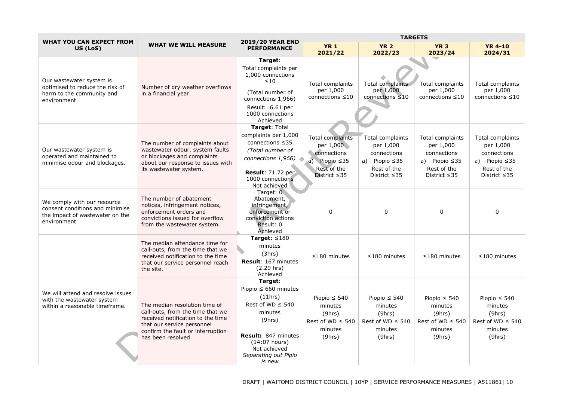| <b>WHAT YOU CAN EXPECT FROM</b>                                                                                  |                                                                                                                                                                                                 | <b>2019/20 YEAR END</b>                                                                                                                                                                          |                                                                                                          | <b>TARGETS</b>                                                                                           |                                                                                                          |                                                                                                          |  |
|------------------------------------------------------------------------------------------------------------------|-------------------------------------------------------------------------------------------------------------------------------------------------------------------------------------------------|--------------------------------------------------------------------------------------------------------------------------------------------------------------------------------------------------|----------------------------------------------------------------------------------------------------------|----------------------------------------------------------------------------------------------------------|----------------------------------------------------------------------------------------------------------|----------------------------------------------------------------------------------------------------------|--|
| US (LoS)                                                                                                         | <b>WHAT WE WILL MEASURE</b>                                                                                                                                                                     | <b>PERFORMANCE</b>                                                                                                                                                                               | <b>YR 1</b><br>2021/22                                                                                   | <b>YR 2</b><br>2022/23                                                                                   | <b>YR 3</b><br>2023/24                                                                                   | <b>YR 4-10</b><br>2024/31                                                                                |  |
| Our wastewater system is<br>optimised to reduce the risk of<br>harm to the community and<br>environment.         | Number of dry weather overflows<br>in a financial year.                                                                                                                                         | Target:<br>Total complaints per<br>1,000 connections<br>$\leq 10$<br>(Total number of<br>connections 1,966)<br>Result: 6.61 per<br>1000 connections<br>Achieved                                  | <b>Total complaints</b><br>per 1,000<br>connections $\leq 10$                                            | Total complaints<br>per 1,000<br>connections $\leq 10$                                                   | Total complaints<br>per 1,000<br>connections $\leq 10$                                                   | Total complaints<br>per 1,000<br>connections $\leq 10$                                                   |  |
| Our wastewater system is<br>operated and maintained to<br>minimise odour and blockages.                          | The number of complaints about<br>wastewater odour, system faults<br>or blockages and complaints<br>about our response to issues with<br>its wastewater system.                                 | Target: Total<br>complaints per 1,000<br>connections ≤35<br>(Total number of<br>connections 1,966)<br><b>Result: 71.72 per</b><br>1000 connections<br>Not achieved                               | Total complaints<br>per 1,000<br>connections<br>a) Piopio $\leq$ 35<br>Rest of the<br>District $\leq$ 35 | Total complaints<br>per 1,000<br>connections<br>a) Piopio $\leq$ 35<br>Rest of the<br>District $\leq$ 35 | Total complaints<br>per 1,000<br>connections<br>a) Piopio $\leq$ 35<br>Rest of the<br>District $\leq$ 35 | Total complaints<br>per 1,000<br>connections<br>a) Piopio $\leq$ 35<br>Rest of the<br>District $\leq$ 35 |  |
| We comply with our resource<br>consent conditions and minimise<br>the impact of wastewater on the<br>environment | The number of abatement<br>notices, infringement notices,<br>enforcement orders and<br>convictions issued for overflow<br>from the wastewater system.                                           | Target: $\overline{0}$<br>Abatement,<br>infringement,<br>enforcement or<br>conviction actions<br>Result: 0<br>Achieved                                                                           | 0                                                                                                        | $\mathbf 0$                                                                                              | 0                                                                                                        | $\mathbf 0$                                                                                              |  |
|                                                                                                                  | The median attendance time for<br>call-outs, from the time that we<br>received notification to the time<br>that our service personnel reach<br>the site.                                        | Target: $\leq 180$<br>minutes<br>(3hrs)<br>Result: 167 minutes<br>$(2.29$ hrs)<br>Achieved                                                                                                       | $\leq$ 180 minutes                                                                                       | $\leq$ 180 minutes                                                                                       | $≤180$ minutes                                                                                           | $\leq$ 180 minutes                                                                                       |  |
| We will attend and resolve issues<br>with the wastewater system<br>within a reasonable timeframe.                | The median resolution time of<br>call-outs, from the time that we<br>received notification to the time<br>that our service personnel<br>confirm the fault or interruption<br>has been resolved. | Target:<br>Piopio $\leq 660$ minutes<br>(11hrs)<br>Rest of WD $\leq$ 540<br>minutes<br>(9hrs)<br><b>Result: 847 minutes</b><br>$(14:07$ hours)<br>Not achieved<br>Separating out Pipio<br>is new | Piopio $\leq 540$<br>minutes<br>(9hrs)<br>Rest of $WD \leq 540$<br>minutes<br>(9hrs)                     | Piopio $\leq 540$<br>minutes<br>(9hrs)<br>Rest of $WD \leq 540$<br>minutes<br>(9hrs)                     | Piopio $\leq 540$<br>minutes<br>(9hrs)<br>Rest of $WD \leq 540$<br>minutes<br>(9hrs)                     | Piopio $\leq 540$<br>minutes<br>(9hrs)<br>Rest of $WD \leq 540$<br>minutes<br>(9hrs)                     |  |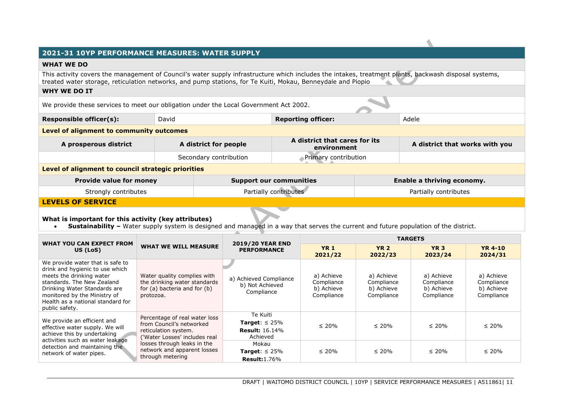## **2021-31 10YP PERFORMANCE MEASURES: WATER SUPPLY**

#### **WHAT WE DO**

This activity covers the management of Council's water supply infrastructure which includes the intakes, treatment plants, backwash disposal systems, treated water storage, reticulation networks, and pump stations, for Te Kuiti, Mokau, Benneydale and Piopio

## **WHY WE DO IT**

We provide these services to meet our obligation under the Local Government Act 2002.

| <b>Responsible officer(s):</b>           | David | <b>Reporting officer:</b> | Adele |
|------------------------------------------|-------|---------------------------|-------|
| Level of alignment to community outcomes |       |                           |       |

| A district for people<br>A prosperous district |                        | A district that cares for its<br>environment | A district that works with you |
|------------------------------------------------|------------------------|----------------------------------------------|--------------------------------|
|                                                | Secondary contribution | Nerimary contribution                        |                                |

#### **Level of alignment to council strategic priorities**

| <b>Provide value for money</b> | <b>Support our communities</b> | <b>Enable a thriving economy.</b> |
|--------------------------------|--------------------------------|-----------------------------------|
| Strongly contributes           | Partially contributes          | Partially contributes             |
| <b>LEVELS OF SERVICE</b>       |                                |                                   |

## **What is important for this activity (key attributes)**

• **Sustainability** – Water supply system is designed and managed in a way that serves the current and future population of the district.

| WHAT YOU CAN EXPECT FROM                                                                                                                                                                                                                             |                                                                                                                                                                                                      | <b>2019/20 YEAR END</b>                                                     | <b>TARGETS</b>                                       |                                                      |                                                      |                                                      |
|------------------------------------------------------------------------------------------------------------------------------------------------------------------------------------------------------------------------------------------------------|------------------------------------------------------------------------------------------------------------------------------------------------------------------------------------------------------|-----------------------------------------------------------------------------|------------------------------------------------------|------------------------------------------------------|------------------------------------------------------|------------------------------------------------------|
| US (LoS)                                                                                                                                                                                                                                             | <b>WHAT WE WILL MEASURE</b>                                                                                                                                                                          |                                                                             | <b>YR 1</b><br>2021/22                               | <b>YR 2</b><br>2022/23                               | <b>YR 3</b><br>2023/24                               | <b>YR 4-10</b><br>2024/31                            |
| We provide water that is safe to<br>drink and hygienic to use which<br>meets the drinking water<br>standards. The New Zealand<br>Drinking Water Standards are<br>monitored by the Ministry of<br>Health as a national standard for<br>public safety. | Water quality complies with<br>the drinking water standards<br>for (a) bacteria and for (b)<br>protozoa.                                                                                             | a) Achieved Compliance<br>b) Not Achieved<br>Compliance                     | a) Achieve<br>Compliance<br>b) Achieve<br>Compliance | a) Achieve<br>Compliance<br>b) Achieve<br>Compliance | a) Achieve<br>Compliance<br>b) Achieve<br>Compliance | a) Achieve<br>Compliance<br>b) Achieve<br>Compliance |
| We provide an efficient and<br>effective water supply. We will<br>achieve this by undertaking<br>activities such as water leakage<br>detection and maintaining the<br>network of water pipes.                                                        | Percentage of real water loss<br>from Council's networked<br>reticulation system.<br>('Water Losses' includes real<br>losses through leaks in the<br>network and apparent losses<br>through metering | Te Kuiti<br><b>Target:</b> $\leq 25\%$<br><b>Result:</b> 16.14%<br>Achieved | $\leq 20\%$                                          | $\leq 20\%$                                          | $\leq 20\%$                                          | $\leq 20\%$                                          |
|                                                                                                                                                                                                                                                      |                                                                                                                                                                                                      | Mokau<br><b>Target:</b> $\leq$ 25%<br><b>Result:</b> 1.76%                  | $\leq 20\%$                                          | $\leq 20\%$                                          | $\leq 20\%$                                          | $\leq 20\%$                                          |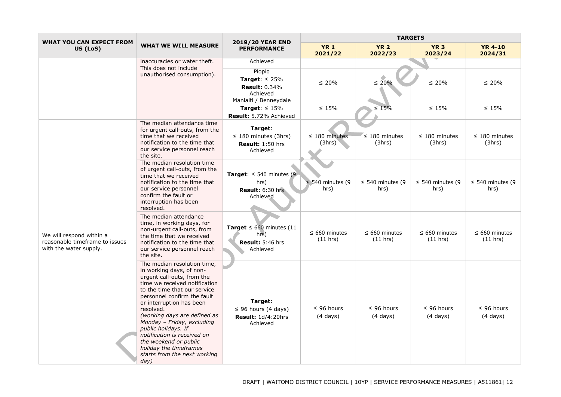| <b>WHAT YOU CAN EXPECT FROM</b>                                                      |                                                                                                                                                                                                                                                                                                                                                                                                                                               | <b>2019/20 YEAR END</b>                                                       | <b>TARGETS</b>                        |                                       |                                       |                                       |
|--------------------------------------------------------------------------------------|-----------------------------------------------------------------------------------------------------------------------------------------------------------------------------------------------------------------------------------------------------------------------------------------------------------------------------------------------------------------------------------------------------------------------------------------------|-------------------------------------------------------------------------------|---------------------------------------|---------------------------------------|---------------------------------------|---------------------------------------|
| US (LoS)                                                                             | <b>WHAT WE WILL MEASURE</b>                                                                                                                                                                                                                                                                                                                                                                                                                   | <b>PERFORMANCE</b>                                                            | <b>YR 1</b><br>2021/22                | <b>YR 2</b><br>2022/23                | <b>YR 3</b><br>2023/24                | <b>YR 4-10</b><br>2024/31             |
|                                                                                      | inaccuracies or water theft.<br>This does not include                                                                                                                                                                                                                                                                                                                                                                                         | Achieved                                                                      |                                       |                                       |                                       |                                       |
|                                                                                      | unauthorised consumption).                                                                                                                                                                                                                                                                                                                                                                                                                    | Piopio<br>Target: $\leq 25\%$<br><b>Result: 0.34%</b><br>Achieved             | $\leq 20\%$                           | $\leq 20\%$                           | $\leq 20\%$                           | $\leq 20\%$                           |
|                                                                                      |                                                                                                                                                                                                                                                                                                                                                                                                                                               | Maniaiti / Benneydale<br><b>Target:</b> $\leq 15\%$<br>Result: 5.72% Achieved | $\leq 15\%$                           | $\leq 15\%$                           | $\leq 15\%$                           | $\leq 15\%$                           |
|                                                                                      | The median attendance time<br>for urgent call-outs, from the<br>time that we received<br>notification to the time that<br>our service personnel reach<br>the site.                                                                                                                                                                                                                                                                            | Target:<br>$\leq$ 180 minutes (3hrs)<br>Result: 1:50 hrs<br>Achieved          | $\leq$ 180 minutes<br>(3hrs)          | $\leq$ 180 minutes<br>(3hrs)          | $\leq$ 180 minutes<br>(3hrs)          | $\leq$ 180 minutes<br>(3hrs)          |
| We will respond within a<br>reasonable timeframe to issues<br>with the water supply. | The median resolution time<br>of urgent call-outs, from the<br>time that we received<br>notification to the time that<br>our service personnel<br>confirm the fault or<br>interruption has been<br>resolved.                                                                                                                                                                                                                                  | Target: $\leq$ 540 minutes (9)<br>hrs)<br>Result: 6:30 hrs<br>Achieved        | $\leq$ 540 minutes (9<br>hrs)         | $\leq$ 540 minutes (9<br>hrs)         | $\leq$ 540 minutes (9<br>hrs)         | $\leq$ 540 minutes (9<br>hrs)         |
|                                                                                      | The median attendance<br>time, in working days, for<br>non-urgent call-outs, from<br>the time that we received<br>notification to the time that<br>our service personnel reach<br>the site.                                                                                                                                                                                                                                                   | Target $\leq 660$ minutes (11<br>hrs)<br>Result: 5:46 hrs<br>Achieved         | $\leq 660$ minutes<br>(11 hrs)        | $\leq 660$ minutes<br>(11 hrs)        | $\leq 660$ minutes<br>(11 hrs)        | $\leq 660$ minutes<br>(11 hrs)        |
|                                                                                      | The median resolution time,<br>in working days, of non-<br>urgent call-outs, from the<br>time we received notification<br>to the time that our service<br>personnel confirm the fault<br>or interruption has been<br>resolved.<br>(working days are defined as<br>Monday - Friday, excluding<br>public holidays. If<br>notification is received on<br>the weekend or public<br>holiday the timeframes<br>starts from the next working<br>day) | Target:<br>$\leq$ 96 hours (4 days)<br><b>Result: 1d/4:20hrs</b><br>Achieved  | $\leq$ 96 hours<br>$(4 \text{ days})$ | $\leq$ 96 hours<br>$(4 \text{ days})$ | $\leq$ 96 hours<br>$(4 \text{ days})$ | $\leq$ 96 hours<br>$(4 \text{ days})$ |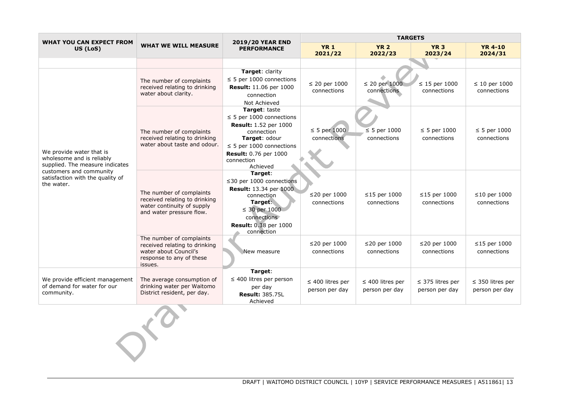| WHAT YOU CAN EXPECT FROM                                                                                                                                              |                                                                                                                           | <b>2019/20 YEAR END</b>                                                                                                                                                                           |                                         |                                         | <b>TARGETS</b>                          |                                         |
|-----------------------------------------------------------------------------------------------------------------------------------------------------------------------|---------------------------------------------------------------------------------------------------------------------------|---------------------------------------------------------------------------------------------------------------------------------------------------------------------------------------------------|-----------------------------------------|-----------------------------------------|-----------------------------------------|-----------------------------------------|
| US (LoS)                                                                                                                                                              | <b>WHAT WE WILL MEASURE</b>                                                                                               | <b>PERFORMANCE</b>                                                                                                                                                                                | <b>YR 1</b><br>2021/22                  | <b>YR 2</b><br>2022/23                  | <b>YR 3</b><br>2023/24                  | <b>YR 4-10</b><br>2024/31               |
|                                                                                                                                                                       |                                                                                                                           |                                                                                                                                                                                                   |                                         |                                         |                                         |                                         |
| We provide water that is<br>wholesome and is reliably<br>supplied. The measure indicates<br>customers and community<br>satisfaction with the quality of<br>the water. | The number of complaints<br>received relating to drinking<br>water about clarity.                                         | Target: clarity<br>$\leq$ 5 per 1000 connections<br>Result: 11.06 per 1000<br>connection<br>Not Achieved                                                                                          | $\leq$ 20 per 1000<br>connections       | $\leq 20$ per 1000<br>connections       | $\leq$ 15 per 1000<br>connections       | $\leq 10$ per 1000<br>connections       |
|                                                                                                                                                                       | The number of complaints<br>received relating to drinking<br>water about taste and odour.                                 | Target: taste<br>$\leq$ 5 per 1000 connections<br><b>Result:</b> 1.52 per 1000<br>connection<br>Target: odour<br>$\leq$ 5 per 1000 connections<br>Result: 0.76 per 1000<br>connection<br>Achieved | $\leq$ 5 per 1000<br>connections        | $\leq$ 5 per 1000<br>connections        | $\leq$ 5 per 1000<br>connections        | $\leq$ 5 per 1000<br>connections        |
|                                                                                                                                                                       | The number of complaints<br>received relating to drinking<br>water continuity of supply<br>and water pressure flow.       | Target:<br>$\leq$ 30 per 1000 connections<br><b>Result:</b> 13.34 per 1000<br>connection<br>Target:<br>$\leq$ 30 per 1000<br>connections<br>Result: 0.38 per 1000<br>connection                   | $\leq$ 20 per 1000<br>connections       | $\leq$ 15 per 1000<br>connections       | $\leq$ 15 per 1000<br>connections       | $\leq$ 10 per 1000<br>connections       |
|                                                                                                                                                                       | The number of complaints<br>received relating to drinking<br>water about Council's<br>response to any of these<br>issues. | New measure                                                                                                                                                                                       | $\leq$ 20 per 1000<br>connections       | ≤20 per 1000<br>connections             | ≤20 per 1000<br>connections             | $\leq$ 15 per 1000<br>connections       |
| We provide efficient management<br>of demand for water for our<br>community.                                                                                          | The average consumption of<br>drinking water per Waitomo<br>District resident, per day.                                   | Target:<br>$\leq$ 400 litres per person<br>per day<br><b>Result: 385.75L</b><br>Achieved                                                                                                          | $\leq$ 400 litres per<br>person per day | $\leq$ 400 litres per<br>person per day | $\leq$ 375 litres per<br>person per day | $\leq$ 350 litres per<br>person per day |
|                                                                                                                                                                       |                                                                                                                           |                                                                                                                                                                                                   |                                         |                                         |                                         |                                         |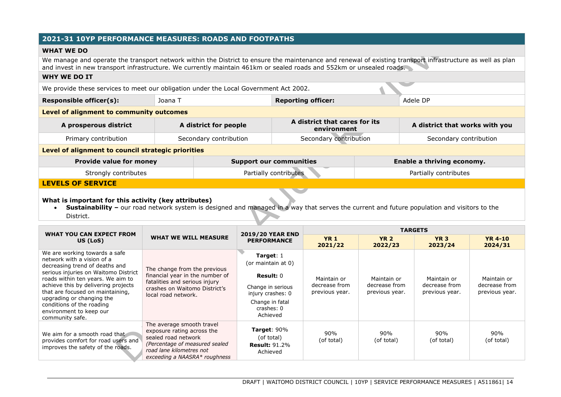## **2021-31 10YP PERFORMANCE MEASURES: ROADS AND FOOTPATHS**

#### **WHAT WE DO**

We manage and operate the transport network within the District to ensure the maintenance and renewal of existing transport infrastructure as well as plan and invest in new transport infrastructure. We currently maintain 461km or sealed roads and 552km or unsealed roads.

#### **WHY WE DO IT**

We provide these services to meet our obligation under the Local Government Act 2002.

| <b>Responsible officer(s):</b><br><b>Reporting officer:</b><br>Joana T | Adele DP |
|------------------------------------------------------------------------|----------|

#### **Level of alignment to community outcomes**

| A prosperous district | A district for people  | A district that cares for its<br>environment | A district that works with you |
|-----------------------|------------------------|----------------------------------------------|--------------------------------|
| Primary contribution  | Secondary contribution | Secondary contribution                       | Secondary contribution         |

#### **Level of alignment to council strategic priorities**

| <b>Provide value for money</b> | <b>Support our communities</b> | Enable a thriving economy. |
|--------------------------------|--------------------------------|----------------------------|
| Strongly contributes           | Partially contributes          | Partially contributes      |

#### **LEVELS OF SERVICE**

#### **What is important for this activity (key attributes)**

• **Sustainability** – our road network system is designed and managed in a way that serves the current and future population and visitors to the District.

| WHAT YOU CAN EXPECT FROM                                                                                                                                                                                                                                                 | <b>WHAT WE WILL MEASURE</b>                                                                                                                                                   | <b>2019/20 YEAR END</b><br><b>PERFORMANCE</b>                           | <b>TARGETS</b>                  |                                                |                                                |                                                |
|--------------------------------------------------------------------------------------------------------------------------------------------------------------------------------------------------------------------------------------------------------------------------|-------------------------------------------------------------------------------------------------------------------------------------------------------------------------------|-------------------------------------------------------------------------|---------------------------------|------------------------------------------------|------------------------------------------------|------------------------------------------------|
| US (LoS)                                                                                                                                                                                                                                                                 |                                                                                                                                                                               |                                                                         | <b>YR 1</b><br>2021/22          | <b>YR 2</b><br>2022/23                         | <b>YR 3</b><br>2023/24                         | <b>YR 4-10</b><br>2024/31                      |
| We are working towards a safe<br>network with a vision of a<br>decreasing trend of deaths and                                                                                                                                                                            | The change from the previous                                                                                                                                                  | Target: $1$<br>(or maintain at 0)                                       |                                 | Maintain or<br>decrease from<br>previous year. | Maintain or<br>decrease from<br>previous year. | Maintain or<br>decrease from<br>previous year. |
| serious injuries on Waitomo District<br>roads within ten years. We aim to                                                                                                                                                                                                | financial year in the number of                                                                                                                                               | Result: $0$                                                             | Maintain or                     |                                                |                                                |                                                |
| fatalities and serious injury<br>achieve this by delivering projects<br>crashes on Waitomo District's<br>that are focused on maintaining,<br>local road network.<br>upgrading or changing the<br>conditions of the roading<br>environment to keep our<br>community safe. |                                                                                                                                                                               | Change in serious<br>injury crashes: 0                                  | decrease from<br>previous year. |                                                |                                                |                                                |
|                                                                                                                                                                                                                                                                          | Change in fatal<br>crashes: 0<br>Achieved                                                                                                                                     |                                                                         |                                 |                                                |                                                |                                                |
| We aim for a smooth road that<br>provides comfort for road users and<br>improves the safety of the roads.                                                                                                                                                                | The average smooth travel<br>exposure rating across the<br>sealed road network<br>(Percentage of measured sealed<br>road lane kilometres not<br>exceeding a NAASRA* roughness | <b>Target:</b> $90\%$<br>(of total)<br><b>Result: 91.2%</b><br>Achieved | 90%<br>(of total)               | 90%<br>(of total)                              | 90%<br>(of total)                              | 90%<br>(of total)                              |